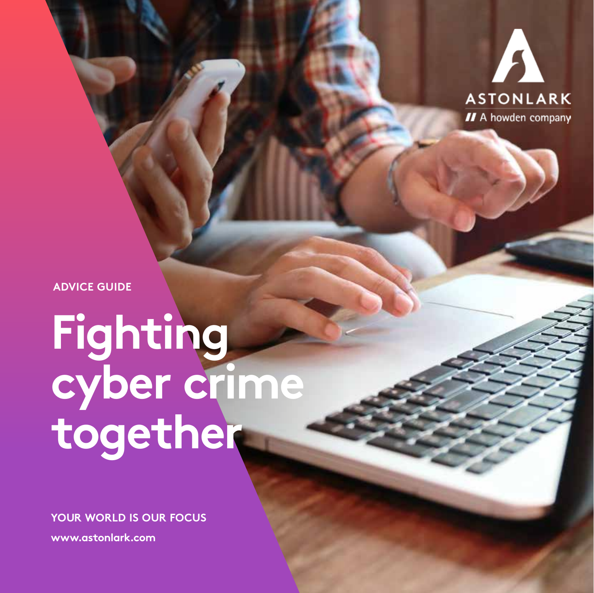

**ADVICE GUIDE**

# **Fighting cyber crime together**

**YOUR WORLD IS OUR FOCUS**

**www.astonlark.com**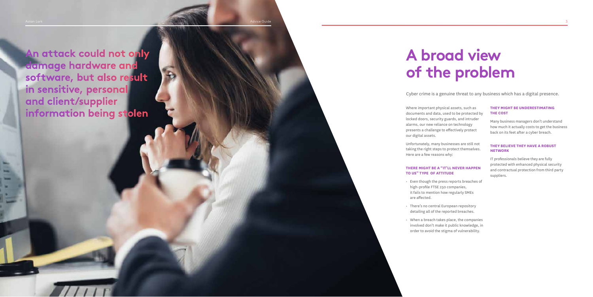Aston Lark Advice Guide Communication of the Communication of the Communication of the Communication of the Communication of the Communication of the Communication of the Communication of the Communication of the Communica

Where important physical assets, such as documents and data, used to be protected by locked doors, security guards, and intruder alarms, our new reliance on technology presents a challenge to effectively protect our digital assets.

Unfortunately, many businesses are still not taking the right steps to protect themselves. Here are a few reasons why:

### **THERE MIGHT BE A "IT'LL NEVER HAPPEN TO US" TYPE OF ATTITUDE**

- Even though the press reports breaches of high-profile FTSE 250 companies, it fails to mention how regularly SMEs are affected.
- There's no central European repository detailing all of the reported breaches.
- When a breach takes place, the companies involved don't make it public knowledge, in order to avoid the stigma of vulnerability.

### **THEY MIGHT BE UNDERESTIMATING THE COST**

Many business managers don't understand how much it actually costs to get the business back on its feet after a cyber breach.

#### **THEY BELIEVE THEY HAVE A ROBUST NETWORK**

IT professionals believe they are fully protected with enhanced physical security and contractual protection from third party suppliers.

# **A broad view of the problem**

Cyber crime is a genuine threat to any business which has a digital presence.

**An attack could not only damage hardware and software, but also result in sensitive, personal and client/supplier information being stolen**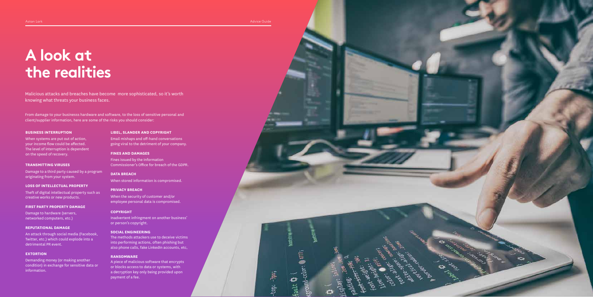Aston Lark Advice Guide Guide Communication of the Communication of the Communication of the Advice Guide Guide

# **A look at the realities**

Malicious attacks and breaches have become more sophisticated, so it's worth knowing what threats your business faces.

From damage to your businesss hardware and software, to the loss of sensitive personal and client/supplier information, here are some of the risks you should consider:

#### **BUSINESS INTERRUPTION**

When systems are put out of action, your income flow could be affected. The level of interruption is dependent on the speed of recovery.

#### **TRANSMITTING VIRUSES**

Damage to a third party caused by a program originating from your system.

#### **LOSS OF INTELLECTUAL PROPERTY**

Theft of digital intellectual property such as creative works or new products.

#### **FIRST PARTY PROPERTY DAMAGE**

Damage to hardware (servers, networked computers, etc.)

#### **REPUTATIONAL DAMAGE**

An attack through social media (Facebook, Twitter, etc.) which could explode into a detrimental PR event.

#### **EXTORTION**

Demanding money (or making another condition) in exchange for sensitive data or information.

#### **LIBEL, SLANDER AND COPYRIGHT**

Email mishaps and off-hand conversations going viral to the detriment of your company.

#### **FINES AND DAMAGES**

Fines issued by the Information Commissioner's Office for breach of the GDPR.

#### **DATA BREACH**

When stored information is compromised.

#### **PRIVACY BREACH**

When the security of customer and/or employee personal data is compromised.

#### **COPYRIGHT**

Inadvertent infringment on another business' or person's copyright.

#### **SOCIAL ENGINEERING**

The methods attackers use to deceive victims into performing actions, often phishing but also phone calls, fake LinkedIn accounts, etc,

#### **RANSOMWARE**

A piece of malicious software that encrypts or blocks access to data or systems, with a decryption key only being provided upon payment of a fee.

 $t$  top:  $-\frac{1}{2}px$ ;

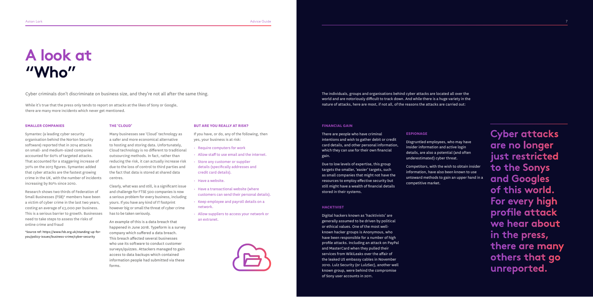## **A look at "Who"**

**Cyber attacks are no longer just restricted to the Sonys and Googles of this world. For every high profile attack we hear about in the press, there are many others that go unreported.**

#### **SMALLER COMPANIES**

Symantec (a leading cyber security organisation behind the Norton Security software) reported that in 2014 attacks on small- and medium-sized companies accounted for 60% of targeted attacks. That accounted for a staggering increase of 30% on the 2013 figures. Symantec added that cyber attacks are the fastest growing crime in the UK, with the number of incidents increasing by 80% since 2010.

Research shows two thirds of Federation of Small Businesses (FSB)\* members have been a victim of cyber crime in the last two years, costing an average of £3,000 per business. This is a serious barrier to growth. Businesses need to take steps to assess the risks of online crime and fraud

\*Source ref: https://www.fsb.org.uk/standing-up-foryou/policy-issues/business-crime/cyber-security

#### **THE 'CLOUD'**

Many businesses see 'Cloud' technology as a safer and more economical alternative to hosting and storing data. Unfortunately, Cloud technology is no different to traditional outsourcing methods. In fact, rather than reducing the risk, it can actually increase risk due to the loss of control to third parties and the fact that data is stored at shared data centres.

Clearly, what was and still, is a significant issue and challenge for FTSE 500 companies is now a serious problem for every business, including yours. If you have any kind of IT footprint however big or small the threat of cyber crime has to be taken seriously.

An example of this is a data breach that happened in June 2018. Typeform is a survey company which suffered a data breach. This breach affected several businesses who use its software to conduct customer surveys/quizzes. Attackers managed to gain access to data backups which contained information people had submitted via these forms.

### **BUT ARE YOU REALLY AT RISK?**

If you have, or do, any of the following, then yes, your business is at risk:

- Require computers for work
- Allow staff to use email and the internet.
- Store any customer or supplier details (specifically addresses and credit card details).
- Have a website.
- Have a transactional website (where customers can send their personal details).
- Keep employee and payroll details on a network.
- Allow suppliers to access your network or an extranet.



Cyber criminals don't discriminate on business size, and they're not all after the same thing.

While it's true that the press only tends to report on attacks at the likes of Sony or Google, there are many more incidents which never get mentioned.

#### **FINANCIAL GAIN**

There are people who have criminal intentions and wish to gather debit or credit card details, and other personal information, which they can use for their own financial gain.

Due to low levels of expertise, this group targets the smaller, 'easier' targets, such as small companies that might not have the resources to employ effective security but still might have a wealth of financial details stored in their systems.

#### **HACKTIVIST**

Digital hackers known as 'hacktivists' are generally assumed to be driven by political or ethical values. One of the most wellknown hacker groups is Anonymous, who have been responsible for a number of high profile attacks. Including an attack on PayPal and MasterCard when they pulled their services from WikiLeaks over the affair of the leaked US embassy cables in November 2010. Lulz Security (or LulzSec), another well known group, were behind the compromise of Sony user accounts in 2011.

#### **ESPIONAGE**

Disgruntled employees, who may have insider information and active login details, are also a potential (and often underestimated) cyber threat.

Competitors, with the wish to obtain insider information, have also been known to use untoward methods to gain an upper hand in a competitive market.

The individuals, groups and organisations behind cyber attacks are located all over the world and are notoriously difficult to track down. And while there is a huge variety in the nature of attacks, here are most, if not all, of the reasons the attacks are carried out: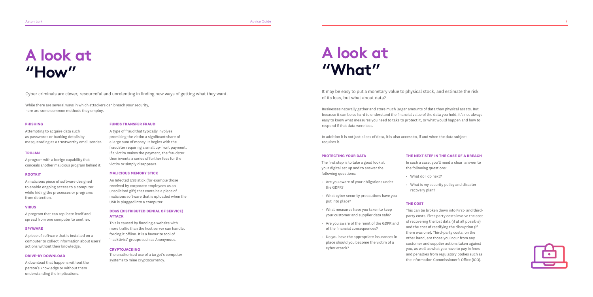Aston Lark Advice Guide Advice Guide Advice Guide Advice Guide Advice Guide Advice Guide Advice Guide Advice Guide

# **A look at "How"**

#### **PHISHING**

Attempting to acquire data such as passwords or banking details by masquerading as a trustworthy email sender.

#### **TROJAN**

A program with a benign capability that conceals another malicious program behind it.

#### **ROOTKIT**

A malicious piece of software designed to enable ongoing access to a computer while hiding the processes or programs from detection.

#### **VIRUS**

A program that can replicate itself and spread from one computer to another.

#### **SPYWARE**

A piece of software that is installed on a computer to collect information about users' actions without their knowledge.

#### **DRIVE-BY DOWNLOAD**

A download that happens without the person's knowledge or without them understanding the implications.

### **FUNDS TRANSFER FRAUD**

A type of fraud that typically involves promising the victim a significant share of a large sum of money. It begins with the fraudster requiring a small up-front payment. If a victim makes the payment, the fraudster then invents a series of further fees for the victim or simply disappears.

#### **MALICIOUS MEMORY STICK**

An Infected USB stick (for example those received by corporate employees as an unsolicited gift) that contains a piece of malicious software that is uploaded when the USB is plugged into a computer.

#### **DD oS (DISTRIBUTED DENIAL OF SERVICE) ATTACK**

This is caused by flooding a website with more traffic than the host server can handle, forcing it offline. It is a favourite tool of 'hacktivist' groups such as Anonymous.

### **CRYPTOJACKING**

The unathorised use of a target's computer systems to mine cryptocurrency.

Cyber criminals are clever, resourceful and unrelenting in finding new ways of getting what they want.

While there are several ways in which attackers can breach your security, here are some common methods they employ.

## **A look at "What"**

#### **PROTECTING YOUR DATA**

The first step is to take a good look at your digital set up and to answer the following questions:

- Are you aware of your obligations under the GDPR?
- What cyber security precautions have you put into place?
- What measures have you taken to keep your customer and supplier data safe?
- Are you aware of the remit of the GDPR and of the financial consequences?
- Do you have the appropriate insurances in place should you become the victim of a cyber attack?

#### **THE NEXT STEP IN THE CASE OF A BREACH**

In such a case, you'll need a clear answer to the following questions:

- What do I do next?
- What is my security policy and disaster recovery plan?

#### **THE COST**

This can be broken down into First- and thirdparty costs. First-party costs involve the cost of recovering the lost data (if at all possible) and the cost of rectifying the disruption (if there was one). Third-party costs, on the other hand, are those you incur from any customer and supplier actions taken against you, as well as what you have to pay in fines and penalties from regulatory bodies such as the Information Commissioner's Office (ICO).



It may be easy to put a monetary value to physical stock, and estimate the risk of its loss, but what about data?

Businesses naturally gather and store much larger amounts of data than physical assets. But because it can be so hard to understand the financial value of the data you hold, it's not always easy to know what measures you need to take to protect it, or what would happen and how to respond if that data were lost.

In addition it is not just a loss of data, it is also access to, if and when the data subject requires it.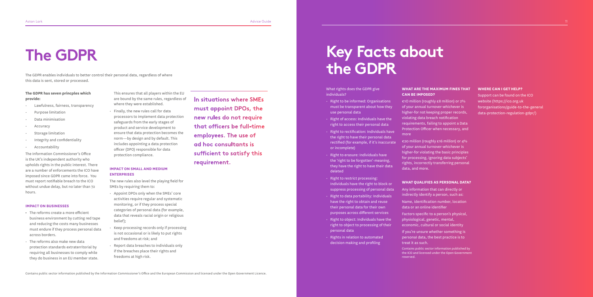Aston Lark Advice Guide 2014 - Advice Guide 2014 - Advice Guide 2014 - Advice Guide 2014 - Advice Guide 2014 - Advice Guide 2014 - Advice Guide 2014 - Advice Guide 2014 - Advice Guide 2014 - Advice Guide 2014 - Advice Guid

### **The GDPR has seven princples which provide:**

- Lawfulness, fairness, transparency
- Purpose limitation
- Data minimisation
- **Accuracy**
- Storage limitation
- Integrity and confidentiality
- Accountability

The Information Commissioner's Office is the UK's independent authority who upholds rights in the public interest. There are a number of enforcements the ICO have imposed since GDPR came into force. You must report notifiable breach to the ICO without undue delay, but no later than 72 hours.

### **IMPACT ON BUSINESSES**

- The reforms create a more efficient business environment by cutting red tape and reducing the costs many businesses must endure if they process personal data across borders.
- The reforms also make new data protection standards extraterritorial by requiring all businesses to comply while they do business in an EU member state.

This ensures that all players within the EU are bound by the same rules, regardless of where they were established. • Finally, the new rules call for data

processors to implement data protection safeguards from the early stages of product and service development to ensure that data protection becomes the norm—by design and by default. This includes appointing a data protection officer (DPO) responsible for data protection compliance.

### **IMPACT ON SMALL AND MEDIUM ENTERPRISES**

The new rules also level the playing field for SMEs by requiring them to:

- Appoint DPOs only when the SMEs' core activities require regular and systematic monitoring, or if they process special categories of personal data (for example, data that reveals racial origin or religious belief);
- Keep processing records only if processing is not occasional or is likely to put rights and freedoms at risk; and
- Report data breaches to individuals only if the breaches place their rights and freedoms at high risk.

# **The GDPR**

The GDPR enables individuals to better control their personal data, regardless of where this data is sent, stored or processed.

> **In situations where SMEs must appoint DPOs, the new rules do not require that officers be full-time employees. The use of ad hoc consultants is sufficient to satisfy this requirement.**

What rights does the GDPR give individuals?

- Right to be informed: Organisations must be transparent about how they use personal data
- Right of access: Individuals have the right to access their personal data
- Right to rectification: Individuals have the right to have their personal data rectified (for example, if it's inaccurate or incomplete)
- Right to erasure: Individuals have the 'right to be forgotten'-meaning, they have the right to have their data deleted
- Right to restrict processing: Individuals have the right to block or suppress processing of personal data
- Right to data portability: Individuals have the right to obtain and reuse their personal data for their own purposes across different services
- Right to object: Individuals have the right to object to processing of their personal data
- Rights in relation to automated decision making and profiling

**WHAT ARE THE MAXIMUM FINES THAT CAN BE IMPOSED?** 

€1O million (roughly £8 million) or 2% of your annual turnover-whichever is higher-for not keeping proper records, violating data breach notification requirements, failing to appoint a Data Protection Officer when necessary, and more

€20 million (roughly £16 million) or 4% of your annual turnover-whichever is higher-for violating the basic principles for processing, ignoring data subjects' rights, incorrectly transferring personal data, and more.

### **WHAT QUALIFIES AS PERSONAL DATA?**

Any information that can directly or indirectly identify a person, such as: Name, identification number, location data or an online identifier

Factors specific to a person's physical, physiological, genetic, mental, economic, cultural or social identity

If you're unsure whether something is personaI data, the best practice is to treat it as such.

Contains public sector information published by the ICO and licensed under the Open Government reserved.

#### **WHERE CAN I GET HELP?**

Support can be found on the ICO website (https://ico.org.uk fororganisations/guide-to-the-general data-protection-regulation-gdpr/)

## **Key Facts about the GDPR**

Contains public sector information published by the Information Commissioner's Office and the European Commission and licensed under the Open Government Licence.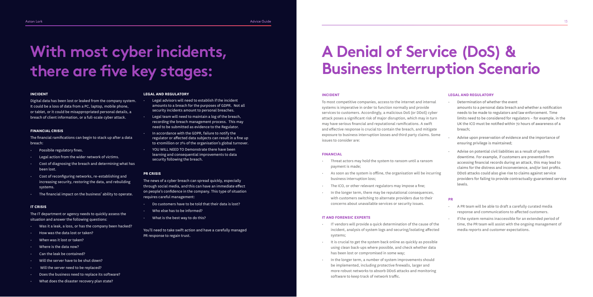#### **INCIDENT**

Digital data has been lost or leaked from the company system. It could be a loss of data from a PC, laptop, mobile phone, or tablet, or it could be misappropriated personal details, a breach of client information, or a full-scale cyber attack.

#### **FINANCIAL CRISIS**

The financial ramifications can begin to stack up after a data breach:

- Possibile regulatory fines.
- Legal action from the wider network of victims.
- Cost of diagnosing the breach and determining what has been lost.
- Cost of reconfiguring networks, re-establishing and increasing security, restoring the data, and rebuilding systems.
- The financial impact on the business' ability to operate.

#### **IT CRISIS**

The IT department or agency needs to quickly assess the situation and answer the following questions:

- Was it a leak, a loss, or has the company been hacked?
- How was the data lost or taken?
- When was it lost or taken?
- Where is the data now?
- Can the leak be contained?
- Will the server have to be shut down?
- Will the server need to be replaced?
- Does the business need to replace its software?
- What does the disaster recovery plan state?

#### **LEGAL AND REGULATORY**

- Legal advisors will need to establish if the incident amounts to a breach for the purposes of GDPR. Not all security incidents amount to personal breaches.
- Legal team will need to maintain a log of the breach, recording the breach management process. This may need to be submitted as evidence to the Regulator.
- In accordance with the GDPR, failure to notify the regulator or affected data subjects can result in a fine up to €10million or 2% of the organisation's global turnover.
- YOU WILL NEED TO Demonstrate there have been learning and consequential improvements to data security following the breach.

#### **PR CRISIS**

The news of a cyber breach can spread quickly, especially through social media, and this can have an immediate effect on people's confidence in the company. This type of situation requires careful management:

- Do customers have to be told that their data is lost?
- Who else has to be informed?
- What is the best way to do this?

You'll need to take swift action and have a carefully managed PR response to regain trust.

# **With most cyber incidents, there are five key stages:**

# **A Denial of Service (DoS) & Business Interruption Scenario**

#### **INCIDENT**

To most competitive companies, access to the internet and internal systems is imperative in order to function normally and provide services to customers. Accordingly, a malicious DoS (or DDoS) cyber attack poses a significant risk of major disruption, which may in turn may have serious financial and reputational ramifications. A swift and effective response is crucial to contain the breach, and mitigate exposure to business interruption losses and third party claims. Some issues to consider are:

#### **FINANCIAL**

- Threat actors may hold the system to ransom until a ransom payment is made;
- As soon as the system is offline, the organisation will be incurring business interruption loss;
- The ICO, or other relevant regulators may impose a fine;
- In the longer term, there may be reputational consequences, with customers switching to alternate providers due to their concerns about unavailable services or security issues.

#### **IT AND FORENSIC EXPERTS**

- IT vendors will provide a quick determination of the cause of the incident, analysis of system logs and securing/isolating affected systems;
- It is crucial to get the system back online as quickly as possible using clean back-ups where possible, and check whether data has been lost or compromised in some way;
- In the longer term, a number of system improvements should be implemented, including protective firewalls, larger and more robust networks to absorb DDoS attacks and monitoring software to keep track of network traffic.

#### **LEGAL AND REGULATORY**

- Determination of whether the event amounts to a personal data breach and whether a notification needs to be made to regulators and law enforcement. Time limits need to be considered for regulators – for example, in the UK the ICO must be notified within 72 hours of awareness of a breach;
- Advise upon preservation of evidence and the importance of ensuring privilege is maintained;
- Advise on potential civil liabilities as a result of system downtime. For example, if customers are prevented from accessing financial records during an attack, this may lead to claims for the distress and inconvenience, and/or lost profits. DDoS attacks could also give rise to claims against service providers for failing to provide contractually-guaranteed service levels.

#### **PR**

- A PR team will be able to draft a carefully curated media response and communications to affected customers.
- If the system remains inaccessible for an extended period of time, the PR team will assist with the ongoing management of media reports and customer expectations.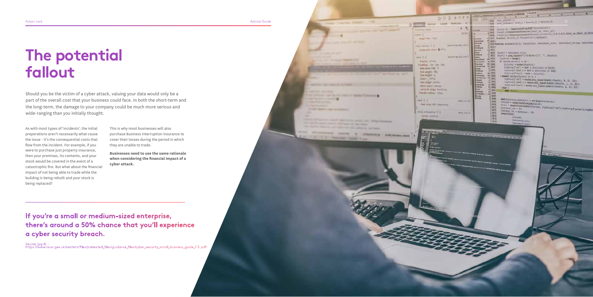**CONTRACTOR CONTRACTOR** 

erroring design

**Pacific Art Service** 

**Provident Adecompanies' >** 



As with most types of 'incidents', the initial preperations aren't necessarily what cause the issue - it's the consequential costs that flow from the incident. For example, if you were to purchase just property insurance, then your premises, its contents, and your stock would be covered in the event of a catastrophic fire. But what about the financial impact of not being able to trade while the building is being rebuilt and your stock is being replaced?

This is why most businesses will also purchase Business Interruption insurance to cover their losses during the period in which they are unable to trade.

**Businesses need to use the same rationale when considering the financial impact of a cyber attack.**

# **The potential fallout**

Should you be the victim of a cyber attack, valuing your data would only be a part of the overall cost that your business could face. In both the short-term and the long-term, the damage to your company could be much more serious and wide-ranging than you initially thought.

**If you're a small or medium-sized enterprise, there's around a 50% chance that you'll experience a cyber security breach.**

Source (pg 4) https://www.ncsc.gov.uk/content/files/protected\_files/guidance\_files/cyber\_security\_small\_business\_guide\_1.3..pdf assuming it it. siciana il colori @ 1777). 310.044 Historicans Lest, au, ad, spilled **New Water Video FL. Fair wrights like** tive bilght (1) caler: 1977; fort-directoring AUTO ABSOLUTION CONTACT sertical-allest baseline;

**CALIFORNIA LONGIA** 

wegin thirt (1012)

 $-1$ 

Horse ration 250s.  $4.044$ First Vibri AIN (Separture)

Teld internation D.T. tarior: pulstery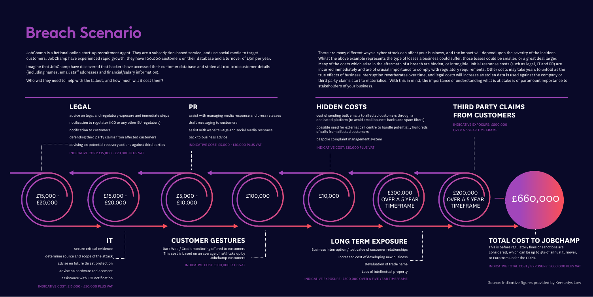# **Breach Scenario**



### **THIRD PARTY CLAIMS FROM CUSTOMERS**

INDICATIVE EXPOSURE: £200,000 OVER A 5 YEAR TIME FRAME

There are many different ways a cyber attack can affect your business, and the impact will depend upon the severity of the incident. Whilst the above example represents the type of losses a business could suffer, those losses could be smaller, or a great deal larger. Many of the costs which arise in the aftermath of a breach are hidden, or intangible. Initial response costs (such as legal, IT and PR) are incurred immediately and are of crucial importance to comply with regulatory requirements. Other costs may take years to unfold as the true effects of business interruption reverberates over time, and legal costs will increase as stolen data is used against the company or third party claims start to materialise. With this in mind, the importance of understanding what is at stake is of paramount importance to

stakeholders of your business.

£200,000 OVER A 5 YEAR TIMEFRAME

JobChamp is a fictional online start-up recruitment agent. They are a subscription-based service, and use social media to target customers. JobChamp have experienced rapid growth: they have 100,000 customers on their database and a turnover of £5m per year.

Imagine that JobChamp have discovered that hackers have accessed their customer database and stolen all 100,000 customer details (including names, email staff addresses and financial/salary information).

Who will they need to help with the fallout, and how much will it cost them?

£660,000

## **TOTAL COST TO JOBCHAMP**

This is before regulatory fines or sanctions are considered, which can be up to 4% of annual turnover, or Euro 20m under the GDPR.

INDICATIVE TOTAL COST / EXPOSURE: £660,000 PLUS VAT

Source: Indicative figures provided by Kennedys Law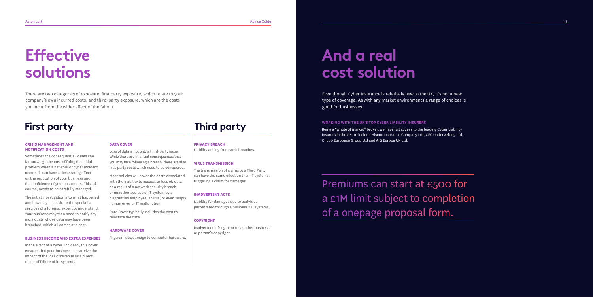Aston Lark Advice Guide 19

# **Effective solutions**

#### **CRISIS MANAGEMENT AND NOTIFICATION COSTS**

Sometimes the consequential losses can far outweigh the cost of fixing the initial problem.When a network or cyber incident occurs, it can have a devastating effect on the reputation of your business and the confidence of your customers. This, of course, needs to be carefully managed.

The initial investigation into what happened and how may necessitate the specialist services of a forensic expert to understand. Your business may then need to notify any individuals whose data may have been breached, which all comes at a cost.

#### **BUSINESS INCOME AND EXTRA EXPENSES**

In the event of a cyber 'incident', this cover ensures that your business can survive the impact of the loss of revenue as a direct result of failure of its systems.

### **DATA COVER**

Loss of data is not only a third-party issue. While there are financial consequences that you may face following a breach, there are also first-party costs which need to be considered.

**First party Marking WITH THE UK'S TOP CYBER LIABILITY INSURERS** Being a "whole of market" broker, we have full access to the leading Cyber Liability Insurers in the UK, to include Hiscox Insurance Company Ltd, CFC Underwriting Ltd, Chubb European Group Ltd and AIG Europe UK Ltd.

> Most policies will cover the costs associated with the inability to access, or loss of, data as a result of a network security breach or unauthorised use of IT system by a disgruntled employee, a virus, or even simply human error or IT malfunction.

Data Cover typically includes the cost to reinstate the data.

#### **HARDWARE COVER**

Physical loss/damage to computer hardware.

### **PRIVACY BREACH**

Liability arising from such breaches.

#### **VIRUS TRANSMISSION**

The transmission of a virus to a Third Party can have the same effect on their IT systems, triggering a claim for damages.

#### **INADVERTENT ACTS**

Liability for damages due to activities perpetrated through a business's IT systems.

#### **COPYRIGHT**

Inadvertent infringment on another business' or person's copyright.

There are two categories of exposure: first party exposure, which relate to your company's own incurred costs, and third-party exposure, which are the costs you incur from the wider effect of the fallout.

Premiums can start at £500 for a £1M limit subject to completion of a onepage proposal form.

## **And a real cost solution**

Even though Cyber Insurance is relatively new to the UK, it's not a new type of coverage. As with any market environments a range of choices is good for businesses.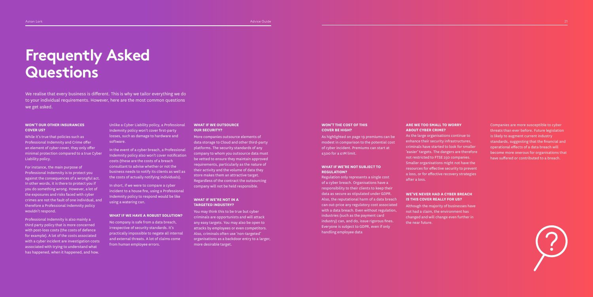# **Frequently Asked Questions**

#### **WON'T OUR OTHER INSURANCES COVER US?**

While it's true that policies such as Professional Indemnity and Crime offer an element of cyber cover, they only offer minimal protection compared to a true Cyber Liability policy.

For instance, the main purpose of **Professional Indemnity is to protect you** against the consequences of a wrongful act. In other words, it is there to protect you if you do something wrong. However, a lot of the exposures and risks faced with cyber crimes are not the fault of one individual, and therefore a Professional Indemnity policy wouldn't respond.

Professional Indemnity is also mainly a third party policy that is more concerned with post-loss costs (the costs of defence for example). A lot of the costs associated with a cyber incident are investigation costs associated with trying to understand what has happened, when it happened, and how.

Unlike a Cyber Liability policy, a Professional Indemnity policy won't cover first-party losses, such as damage to hardware and software.

In the event of a cyber breach, a Professional Indemnity policy also won't cover notification costs (these are the costs of a breach consultant to advise whether or not the business needs to notify its clients as well as the costs of actually notifying individuals).

In short, if we were to compare a cyber incident to a house fire, using a Professional Indemnity policy to respond would be like using a watering can.

#### **WHAT IF WE HAVE A ROBUST SOLUTION?**

No company is safe from a data breach, irrespective of security standards. It's practically impossible to negate all internal and external threats. A lot of claims come from human employee errors.

#### **WHAT IF WE OUTSOURCE OUR SECURITY?**

More companies outsource elements of data storage to Cloud and other third-party platforms. The security standards of any company to whom you outsource data must be vetted to ensure they maintain approved requirements, particularly as the nature of their activity and the volume of data they store makes them an attractive target. Regardless of the contract the outsourcing company will not be held responsible.

#### **WHAT IF WE'RE NOT IN A TARGETED INDUSTRY?**

You may think this to be true but cyber criminals are opportunists and will attack any easy targets. You may also be open to attacks by employees or even competitors. Also, criminals often use 'non-targeted' organisations as a backdoor entry to a larger, more desirable target.

We realise that every business is different. This is why we tailor everything we do to your individual requirements. However, here are the most common questions we get asked.

#### **WON'T THE COST OF THIS COVER BE HIGH?**

As highlighted on page 19 premiums can be modest in comparison to the potential cost of cyber incident. Premiums can start at £500 for a £1M limit.

#### **WHAT IF WE'RE NOT SUBJECT TO REGULATION?**

Regulation only represents a single cost of a cyber breach. Organisations have a responsibility to their clients to keep their data as secure as stipulated under GDPR. Also, the reputational harm of a data breach can out-price any regulatory cost associated with a data breach. Even without regulation, industries (such as the payment card industry) can, and do, issue rigorous fines. Everyone is subject to GDPR, even if only handling employee data

#### **ARE WE TOO SMALL TO WORRY ABOUT CYBER CRIME?**

As the large organisations continue to enhance their security infrastructures, criminals have started to look for smaller 'easier' targets. The dangers are therefore not restricted to FTSE 250 companies. Smaller organisations might not have the resources for effective security to prevent a loss, or for effective recovery strategies after a loss.

#### **WE'VE NEVER HAD A CYBER BREACH IS THIS COVER REALLY FOR US?**

Although the majority of businesses have not had a claim, the environment has changed and will change even further in the near future.

Companies are more susceptible to cyber threats than ever before. Future legislation is likely to augment current industry standards, suggesting that the financial and operational effects of a data breach will become more onerous for organisations that have suffered or contributed to a breach.

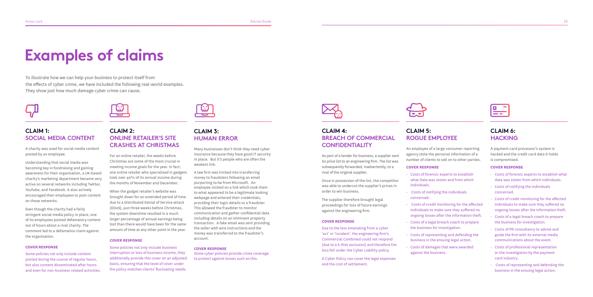### **CLAIM 1: SOCIAL MEDIA CONTENT**

A charity was sued for social media content posted by an employee.

Understanding that social media was becoming key in fundraising and gaining awareness for their organisation, a UK-based charity's marketing department became very active on several networks including Twitter, YouTube, and Facebook. It also actively encouraged their employees to post content on these networks.

Even though the charity had a fairly stringent social media policy in place, one of its employees posted defamatory content out of hours about a rival charity. The comment led to a defamation claim against the organisation.

#### **COVER RESPONSE**

Some policies not only include content posted during the course of regular hours, but also content disseminated after hours and even for non-business related activities.



### **CLAIM 2: ONLINE RETAILER'S SITE CRASHES AT CHRISTMAS**

For an online retailer, the weeks before Christmas are some of the most crucial in meeting income goals for the year. In fact, one online retailer who specialised in gadgets took over 40% of its annual income during the months of November and December.

To illustrate how we can help your business to protect itself from the effects of cyber crime, we have included the following real-world examples. They show just how much damage cyber crime can cause.



When the gadget retailer's website was brought down for an extended period of time due to a Distributed Denial of Service attack (DDoS), just three weeks before Christmas, the system downtime resulted in a much larger percentage of annual earnings being lost than there would have been for the same amount of time at any other point in the year.

#### **COVER RESPONSE**

Some policies not only include business interruption or loss of business income, they additionally provide this cover on an adjusted basis, ensuring that the level of cover under the policy matches clients' fluctuating needs.



### **CLAIM 3: HUMAN ERROR**

Many businesses don't think they need cyber insurance because they have good IT security in place. But it's people who are often the weakest link.

A law firm was tricked into transferring money to fraudsters following an email purporting to be from Microsoft. An employee clicked on a link which took them to what appeared to be a legitimate looking webpage and entered their credentials, providing their login details to a fraudster. This allowed the fraudster to monitor communication and gather confidential data including details on an imminent property transaction. A fake email was sent providing the seller with wire instructions and the money was transferred to the fraudster's account.

#### **COVER RESPONSE**

Some cyber policies provide crime coverage to protect against losses such as this.



## **Examples of claims**

### **CLAIM 4: BREACH OF COMMERCIAL CONFIDENTIALITY**

As part of a tender for business, a supplier sent its price list to an engineering firm. The list was subsequently forwarded, inadvertently, to a rival of the original supplier.

Once in possession of the list, the competitor was able to undercut the supplier's prices in order to win business.

The supplier therefore brought legal proceedings for loss of future earnings against the engineering firm.

#### **COVER RESPONSE**

Due to the loss emanating from a cyber 'act' or 'incident', the engineering firm's Commercial Combined could not respond (due to a E-Risk exclusion) and therefore the loss fell under the Cyber Liability policy.

A Cyber Policy can cover the legal expenses and the cost of settlement.



### **CLAIM 5: ROGUE EMPLOYEE**

An employee of a large consumer reporting agency stole the personal information of a number of clients to sell on to other parties.

#### **COVER RESPONSE**

- Costs of forensic experts to establish what Data was stolen and from which individuals.
- Costs of notifying the individuals concerned.
- Costs of credit monitoring for the affected individuals to make sure they suffered no ongoing losses after the information theft.
- Costs of a legal breach coach to prepare the business for investigation.
- business in the ensuing legal action.
- against the business.



- Costs of representing and defending the
- Costs of damages that were awarded

### **CLAIM 6: HACKING**

A payment card processor's system is hacked and the credit card data it holds is compromised.

### **COVER RESPONSE**

- Costs of forensic experts to establish what data was stolen from which individuals.
- Costs of notifying the individuals concerned.
- Costs of credit monitoring for the affected individuals to make sure they suffered no ongoing losses after the information theft.
- Costs of a legal breach coach to prepare the business for investigation.
- Costs of PR consultancy to advise and guide the firm with its external media communications about the event.
- Costs of professional representation or the investigation by the payment card industry.
- Costs of representing and defending the business in the ensuing legal action.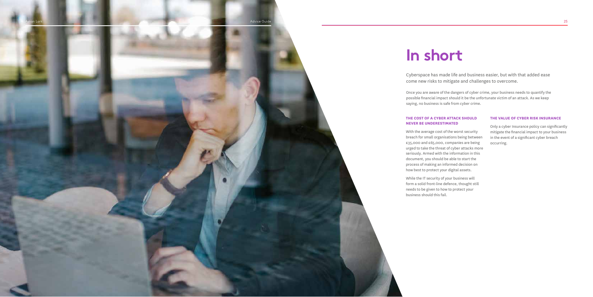

### **THE COST OF A CYBER ATTACK SHOULD NEVER BE UNDERESTIMATED**

With the average cost of the worst security breach for small organisations being between £35,000 and £65,000, companies are being urged to take the threat of cyber attacks more seriously. Armed with the information in this document, you should be able to start the process of making an informed decision on how best to protect your digital assets.

While the IT security of your business will form a solid front-line defence, thought still needs to be given to how to protect your business should this fail.

### **THE VALUE OF CYBER RISK INSURANCE**

Only a cyber Insurance policy can significantly mitigate the financial impact to your business in the event of a significant cyber breach occurring.

## **In short**

Cyberspace has made life and business easier, but with that added ease come new risks to mitigate and challenges to overcome.

Once you are aware of the dangers of cyber crime, your business needs to quantify the possible financial impact should it be the unfortunate victim of an attack. As we keep

saying, no business is safe from cyber crime.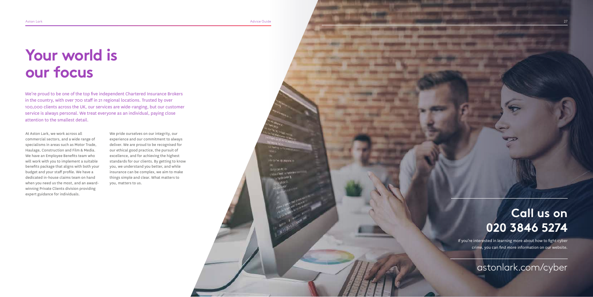Aston Lark Advice Guide Advice Guide Advice Guide Advice Guide Advice Guide Advice Guide Advice Guide Advice Guide

di to be guarako

At Aston Lark, we work across all commercial sectors, and a wide range of specialisms in areas such as Motor Trade, Haulage, Construction and Film & Media. We have an Employee Benefits team who will work with you to implement a suitable benefits package that aligns with both your budget and your staff profile. We have a dedicated in-house claims team on hand when you need us the most, and an awardwinning Private Clients division providing expert guidance for individuals.

We pride ourselves on our integrity, our experience and our commitment to always deliver. We are proud to be recognised for our ethical good practice, the pursuit of excellence, and for achieving the highest standards for our clients. By getting to know you, we understand you better, and while insurance can be complex, we aim to make things simple and clear. What matters to you, matters to us.

> If you're interested in learning more about how to fight cyber crime, you can find more information on our website.

We're proud to be one of the top five independent Chartered Insurance Brokers in the country, with over 700 staff in 21 regional locations. Trusted by over 100,000 clients across the UK, our services are wide-ranging, but our customer service is always personal. We treat everyone as an individual, paying close attention to the smallest detail.

# **Your world is our focus**

## astonlark.com/cyber

## **Call us on 020 3846 5274**